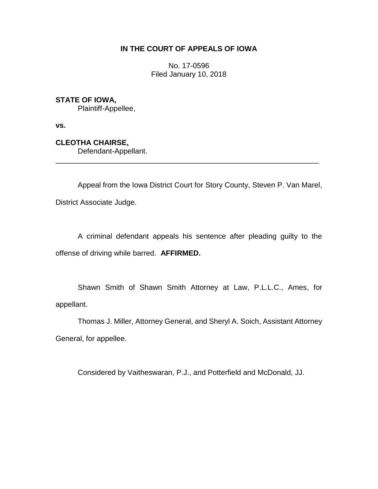## **IN THE COURT OF APPEALS OF IOWA**

No. 17-0596 Filed January 10, 2018

# **STATE OF IOWA,**

Plaintiff-Appellee,

**vs.**

**CLEOTHA CHAIRSE,**

Defendant-Appellant.

Appeal from the Iowa District Court for Story County, Steven P. Van Marel, District Associate Judge.

\_\_\_\_\_\_\_\_\_\_\_\_\_\_\_\_\_\_\_\_\_\_\_\_\_\_\_\_\_\_\_\_\_\_\_\_\_\_\_\_\_\_\_\_\_\_\_\_\_\_\_\_\_\_\_\_\_\_\_\_\_\_\_\_

A criminal defendant appeals his sentence after pleading guilty to the offense of driving while barred. **AFFIRMED.**

Shawn Smith of Shawn Smith Attorney at Law, P.L.L.C., Ames, for appellant.

Thomas J. Miller, Attorney General, and Sheryl A. Soich, Assistant Attorney General, for appellee.

Considered by Vaitheswaran, P.J., and Potterfield and McDonald, JJ.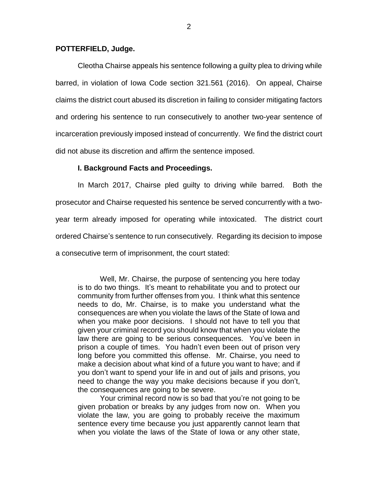## **POTTERFIELD, Judge.**

Cleotha Chairse appeals his sentence following a guilty plea to driving while barred, in violation of Iowa Code section 321.561 (2016). On appeal, Chairse claims the district court abused its discretion in failing to consider mitigating factors and ordering his sentence to run consecutively to another two-year sentence of incarceration previously imposed instead of concurrently. We find the district court did not abuse its discretion and affirm the sentence imposed.

#### **I. Background Facts and Proceedings.**

In March 2017, Chairse pled guilty to driving while barred. Both the prosecutor and Chairse requested his sentence be served concurrently with a twoyear term already imposed for operating while intoxicated. The district court ordered Chairse's sentence to run consecutively. Regarding its decision to impose a consecutive term of imprisonment, the court stated:

Well, Mr. Chairse, the purpose of sentencing you here today is to do two things. It's meant to rehabilitate you and to protect our community from further offenses from you. I think what this sentence needs to do, Mr. Chairse, is to make you understand what the consequences are when you violate the laws of the State of Iowa and when you make poor decisions. I should not have to tell you that given your criminal record you should know that when you violate the law there are going to be serious consequences. You've been in prison a couple of times. You hadn't even been out of prison very long before you committed this offense. Mr. Chairse, you need to make a decision about what kind of a future you want to have; and if you don't want to spend your life in and out of jails and prisons, you need to change the way you make decisions because if you don't, the consequences are going to be severe.

Your criminal record now is so bad that you're not going to be given probation or breaks by any judges from now on. When you violate the law, you are going to probably receive the maximum sentence every time because you just apparently cannot learn that when you violate the laws of the State of Iowa or any other state,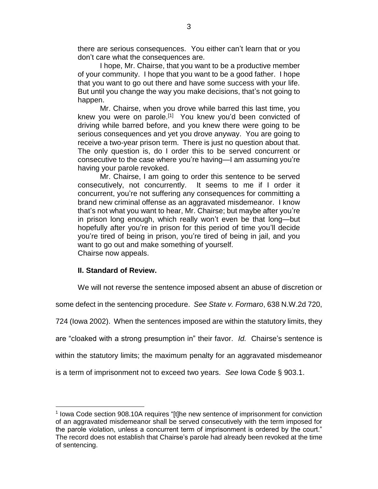there are serious consequences. You either can't learn that or you don't care what the consequences are.

I hope, Mr. Chairse, that you want to be a productive member of your community. I hope that you want to be a good father. I hope that you want to go out there and have some success with your life. But until you change the way you make decisions, that's not going to happen.

Mr. Chairse, when you drove while barred this last time, you knew you were on parole.<sup>[1]</sup> You knew you'd been convicted of driving while barred before, and you knew there were going to be serious consequences and yet you drove anyway. You are going to receive a two-year prison term. There is just no question about that. The only question is, do I order this to be served concurrent or consecutive to the case where you're having—I am assuming you're having your parole revoked.

Mr. Chairse, I am going to order this sentence to be served consecutively, not concurrently. It seems to me if I order it concurrent, you're not suffering any consequences for committing a brand new criminal offense as an aggravated misdemeanor. I know that's not what you want to hear, Mr. Chairse; but maybe after you're in prison long enough, which really won't even be that long—but hopefully after you're in prison for this period of time you'll decide you're tired of being in prison, you're tired of being in jail, and you want to go out and make something of yourself. Chairse now appeals.

## **II. Standard of Review.**

 $\overline{a}$ 

We will not reverse the sentence imposed absent an abuse of discretion or

some defect in the sentencing procedure. *See State v. Formaro*, 638 N.W.2d 720,

724 (Iowa 2002). When the sentences imposed are within the statutory limits, they

are "cloaked with a strong presumption in" their favor. *Id.* Chairse's sentence is

within the statutory limits; the maximum penalty for an aggravated misdemeanor

is a term of imprisonment not to exceed two years. *See* Iowa Code § 903.1.

<sup>&</sup>lt;sup>1</sup> Iowa Code section 908.10A requires "[t]he new sentence of imprisonment for conviction of an aggravated misdemeanor shall be served consecutively with the term imposed for the parole violation, unless a concurrent term of imprisonment is ordered by the court." The record does not establish that Chairse's parole had already been revoked at the time of sentencing.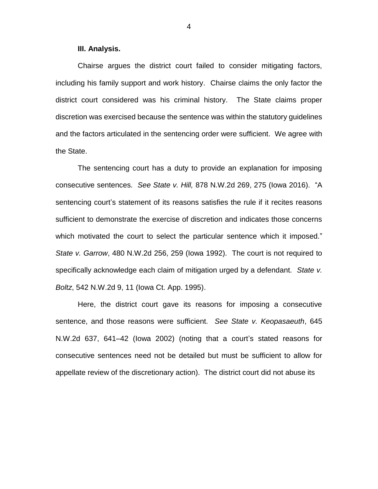### **III. Analysis.**

Chairse argues the district court failed to consider mitigating factors, including his family support and work history. Chairse claims the only factor the district court considered was his criminal history. The State claims proper discretion was exercised because the sentence was within the statutory guidelines and the factors articulated in the sentencing order were sufficient. We agree with the State.

The sentencing court has a duty to provide an explanation for imposing consecutive sentences. *See State v. Hill,* 878 N.W.2d 269, 275 (Iowa 2016). "A sentencing court's statement of its reasons satisfies the rule if it recites reasons sufficient to demonstrate the exercise of discretion and indicates those concerns which motivated the court to select the particular sentence which it imposed." *State v. Garrow*, 480 N.W.2d 256, 259 (Iowa 1992). The court is not required to specifically acknowledge each claim of mitigation urged by a defendant. *State v. Boltz*, 542 N.W.2d 9, 11 (Iowa Ct. App. 1995).

Here, the district court gave its reasons for imposing a consecutive sentence, and those reasons were sufficient. *See State v. Keopasaeuth*, 645 N.W.2d 637, 641–42 (Iowa 2002) (noting that a court's stated reasons for consecutive sentences need not be detailed but must be sufficient to allow for appellate review of the discretionary action). The district court did not abuse its

4